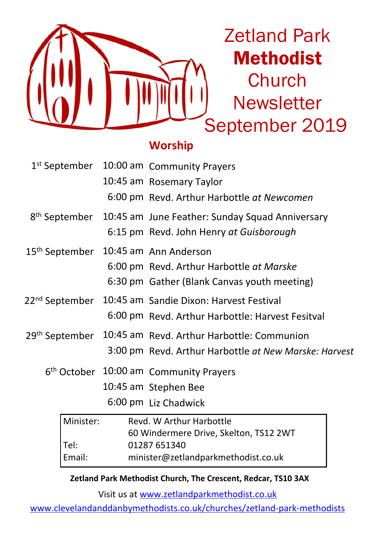

Zetland Park Methodist **Church Newsletter** September 2019

## **Worship**

|                            | 1st September 10:00 am Community Prayers                                  |  |
|----------------------------|---------------------------------------------------------------------------|--|
|                            | 10:45 am Rosemary Taylor                                                  |  |
|                            | 6:00 pm Revd. Arthur Harbottle at Newcomen                                |  |
|                            | 8 <sup>th</sup> September 10:45 am June Feather: Sunday Squad Anniversary |  |
|                            | 6:15 pm Revd. John Henry at Guisborough                                   |  |
| 15 <sup>th</sup> September | 10:45 am Ann Anderson                                                     |  |
|                            | 6:00 pm Revd. Arthur Harbottle at Marske                                  |  |
|                            | 6:30 pm Gather (Blank Canvas youth meeting)                               |  |
| 22 <sup>nd</sup> September | 10:45 am Sandie Dixon: Harvest Festival                                   |  |
|                            | 6:00 pm Revd. Arthur Harbottle: Harvest Fesitval                          |  |
| 29 <sup>th</sup> September | 10:45 am Revd. Arthur Harbottle: Communion                                |  |
|                            | 3:00 pm Revd. Arthur Harbottle at New Marske: Harvest                     |  |
|                            | 6 <sup>th</sup> October 10:00 am Community Prayers                        |  |
|                            | 10:45 am Stephen Bee                                                      |  |
|                            | 6:00 pm Liz Chadwick                                                      |  |

| l Minister: | Revd. W Arthur Harbottle               |  |  |
|-------------|----------------------------------------|--|--|
|             | 60 Windermere Drive, Skelton, TS12 2WT |  |  |
| Tel:        | 01287 651340                           |  |  |
| Email:      | minister@zetlandparkmethodist.co.uk    |  |  |

**Zetland Park Methodist Church, The Crescent, Redcar, TS10 3AX**

Visit us at www.zetlandparkmethodist.co.uk

www.clevelandanddanbymethodists.co.uk/churches/zetland-park-methodists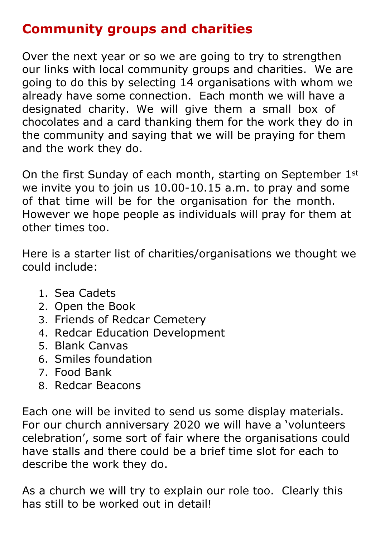# **Community groups and charities**

Over the next year or so we are going to try to strengthen our links with local community groups and charities. We are going to do this by selecting 14 organisations with whom we already have some connection. Each month we will have a designated charity. We will give them a small box of chocolates and a card thanking them for the work they do in the community and saying that we will be praying for them and the work they do.

On the first Sunday of each month, starting on September 1st we invite you to join us 10.00-10.15 a.m. to pray and some of that time will be for the organisation for the month. However we hope people as individuals will pray for them at other times too.

Here is a starter list of charities/organisations we thought we could include:

- 1. Sea Cadets
- 2. Open the Book
- 3. Friends of Redcar Cemetery
- 4. Redcar Education Development
- 5. Blank Canvas
- 6. Smiles foundation
- 7. Food Bank
- 8. Redcar Beacons

Each one will be invited to send us some display materials. For our church anniversary 2020 we will have a 'volunteers celebration', some sort of fair where the organisations could have stalls and there could be a brief time slot for each to describe the work they do.

As a church we will try to explain our role too. Clearly this has still to be worked out in detail!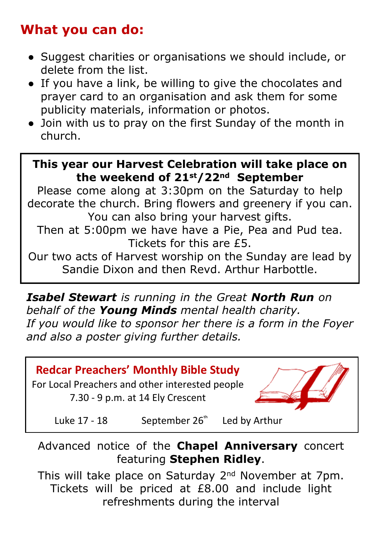# **What you can do:**

- Suggest charities or organisations we should include, or delete from the list.
- If you have a link, be willing to give the chocolates and prayer card to an organisation and ask them for some publicity materials, information or photos.
- Join with us to pray on the first Sunday of the month in church.

## **This year our Harvest Celebration will take place on the weekend of 21st/22nd September**

Please come along at 3:30pm on the Saturday to help decorate the church. Bring flowers and greenery if you can. You can also bring your harvest gifts.

Then at 5:00pm we have have a Pie, Pea and Pud tea. Tickets for this are £5.

Our two acts of Harvest worship on the Sunday are lead by Sandie Dixon and then Revd. Arthur Harbottle.

*Isabel Stewart is running in the Great North Run on behalf of the Young Minds mental health charity. If you would like to sponsor her there is a form in the Foyer and also a poster giving further details.*



Advanced notice of the **Chapel Anniversary** concert featuring **Stephen Ridley**.

This will take place on Saturday 2nd November at 7pm. Tickets will be priced at £8.00 and include light refreshments during the interval